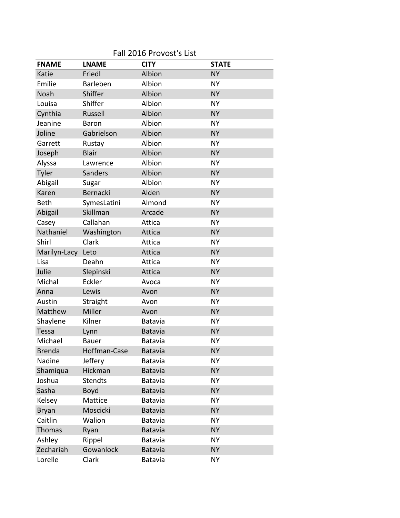| Fall 2016 Provost's List |                 |                |              |  |
|--------------------------|-----------------|----------------|--------------|--|
| <b>FNAME</b>             | <b>LNAME</b>    | <b>CITY</b>    | <b>STATE</b> |  |
| Katie                    | Friedl          | Albion         | <b>NY</b>    |  |
| Emilie                   | <b>Barleben</b> | Albion         | <b>NY</b>    |  |
| Noah                     | Shiffer         | Albion         | <b>NY</b>    |  |
| Louisa                   | Shiffer         | Albion         | <b>NY</b>    |  |
| Cynthia                  | Russell         | Albion         | <b>NY</b>    |  |
| Jeanine                  | <b>Baron</b>    | Albion         | <b>NY</b>    |  |
| Joline                   | Gabrielson      | Albion         | <b>NY</b>    |  |
| Garrett                  | Rustay          | Albion         | <b>NY</b>    |  |
| Joseph                   | <b>Blair</b>    | Albion         | <b>NY</b>    |  |
| Alyssa                   | Lawrence        | Albion         | <b>NY</b>    |  |
| Tyler                    | Sanders         | Albion         | <b>NY</b>    |  |
| Abigail                  | Sugar           | Albion         | <b>NY</b>    |  |
| Karen                    | Bernacki        | Alden          | <b>NY</b>    |  |
| <b>Beth</b>              | SymesLatini     | Almond         | <b>NY</b>    |  |
| Abigail                  | Skillman        | Arcade         | <b>NY</b>    |  |
| Casey                    | Callahan        | Attica         | <b>NY</b>    |  |
| Nathaniel                | Washington      | Attica         | <b>NY</b>    |  |
| Shirl                    | Clark           | Attica         | <b>NY</b>    |  |
| Marilyn-Lacy             | Leto            | Attica         | <b>NY</b>    |  |
| Lisa                     | Deahn           | Attica         | <b>NY</b>    |  |
| Julie                    | Slepinski       | Attica         | <b>NY</b>    |  |
| Michal                   | Eckler          | Avoca          | <b>NY</b>    |  |
| Anna                     | Lewis           | Avon           | <b>NY</b>    |  |
| Austin                   | Straight        | Avon           | <b>NY</b>    |  |
| Matthew                  | Miller          | Avon           | <b>NY</b>    |  |
| Shaylene                 | Kilner          | Batavia        | <b>NY</b>    |  |
| Tessa                    | Lynn            | <b>Batavia</b> | <b>NY</b>    |  |
| Michael                  | <b>Bauer</b>    | Batavia        | <b>NY</b>    |  |
| <b>Brenda</b>            | Hoffman-Case    | Batavia        | <b>NY</b>    |  |
| Nadine                   | Jeffery         | Batavia        | <b>NY</b>    |  |
| Shamiqua                 | Hickman         | Batavia        | <b>NY</b>    |  |
| Joshua                   | <b>Stendts</b>  | Batavia        | <b>NY</b>    |  |
| Sasha                    | Boyd            | <b>Batavia</b> | <b>NY</b>    |  |
| Kelsey                   | Mattice         | Batavia        | <b>NY</b>    |  |
| <b>Bryan</b>             | Moscicki        | Batavia        | <b>NY</b>    |  |
| Caitlin                  | Walion          | Batavia        | <b>NY</b>    |  |
| Thomas                   | Ryan            | Batavia        | <b>NY</b>    |  |
| Ashley                   | Rippel          | Batavia        | <b>NY</b>    |  |
| Zechariah                | Gowanlock       | Batavia        | <b>NY</b>    |  |
| Lorelle                  | Clark           | Batavia        | <b>NY</b>    |  |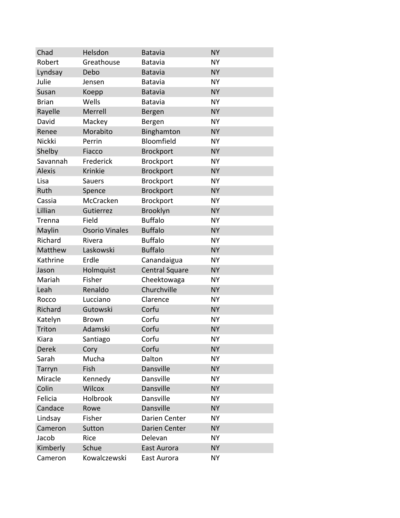| Chad          | Helsdon               | <b>Batavia</b>        | <b>NY</b> |
|---------------|-----------------------|-----------------------|-----------|
| Robert        | Greathouse            | Batavia               | <b>NY</b> |
| Lyndsay       | Debo                  | <b>Batavia</b>        | <b>NY</b> |
| Julie         | Jensen                | <b>Batavia</b>        | <b>NY</b> |
| Susan         | Koepp                 | <b>Batavia</b>        | <b>NY</b> |
| <b>Brian</b>  | Wells                 | <b>Batavia</b>        | <b>NY</b> |
| Rayelle       | Merrell               | Bergen                | <b>NY</b> |
| David         | Mackey                | Bergen                | <b>NY</b> |
| Renee         | Morabito              | Binghamton            | <b>NY</b> |
| Nickki        | Perrin                | Bloomfield            | <b>NY</b> |
| Shelby        | Fiacco                | <b>Brockport</b>      | <b>NY</b> |
| Savannah      | Frederick             | Brockport             | <b>NY</b> |
| <b>Alexis</b> | Krinkie               | <b>Brockport</b>      | <b>NY</b> |
| Lisa          | <b>Sauers</b>         | Brockport             | <b>NY</b> |
| Ruth          | Spence                | <b>Brockport</b>      | <b>NY</b> |
| Cassia        | McCracken             | <b>Brockport</b>      | <b>NY</b> |
| Lillian       | Gutierrez             | Brooklyn              | <b>NY</b> |
| Trenna        | Field                 | <b>Buffalo</b>        | <b>NY</b> |
| Maylin        | <b>Osorio Vinales</b> | <b>Buffalo</b>        | <b>NY</b> |
| Richard       | Rivera                | <b>Buffalo</b>        | <b>NY</b> |
| Matthew       | Laskowski             | <b>Buffalo</b>        | <b>NY</b> |
| Kathrine      | Erdle                 | Canandaigua           | <b>NY</b> |
| Jason         | Holmquist             | <b>Central Square</b> | <b>NY</b> |
| Mariah        | Fisher                | Cheektowaga           | <b>NY</b> |
| Leah          | Renaldo               | Churchville           | <b>NY</b> |
| Rocco         | Lucciano              | Clarence              | <b>NY</b> |
| Richard       | Gutowski              | Corfu                 | <b>NY</b> |
| Katelyn       | <b>Brown</b>          | Corfu                 | <b>NY</b> |
| Triton        | Adamski               | Corfu                 | <b>NY</b> |
| Kiara         | Santiago              | Corfu                 | <b>NY</b> |
| Derek         | Cory                  | Corfu                 | <b>NY</b> |
| Sarah         | Mucha                 | Dalton                | <b>NY</b> |
| Tarryn        | Fish                  | Dansville             | <b>NY</b> |
| Miracle       | Kennedy               | Dansville             | <b>NY</b> |
| Colin         | Wilcox                | Dansville             | <b>NY</b> |
| Felicia       | Holbrook              | Dansville             | <b>NY</b> |
| Candace       | Rowe                  | Dansville             | <b>NY</b> |
| Lindsay       | Fisher                | Darien Center         | <b>NY</b> |
| Cameron       | Sutton                | Darien Center         | <b>NY</b> |
| Jacob         | Rice                  | Delevan               | <b>NY</b> |
| Kimberly      | Schue                 | East Aurora           | <b>NY</b> |
| Cameron       | Kowalczewski          | East Aurora           | <b>NY</b> |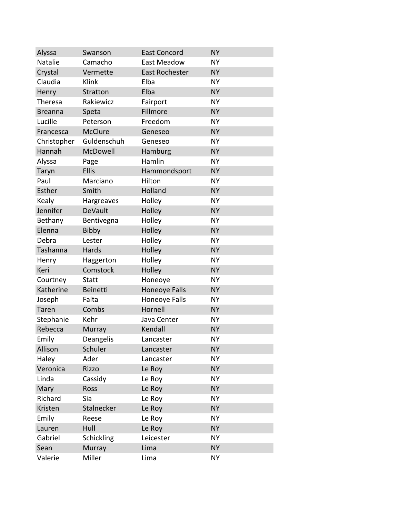| Alyssa         | Swanson         | <b>East Concord</b>   | <b>NY</b> |
|----------------|-----------------|-----------------------|-----------|
| Natalie        | Camacho         | East Meadow           | <b>NY</b> |
| Crystal        | Vermette        | <b>East Rochester</b> | <b>NY</b> |
| Claudia        | Klink           | Elba                  | <b>NY</b> |
| Henry          | Stratton        | Elba                  | <b>NY</b> |
| <b>Theresa</b> | Rakiewicz       | Fairport              | <b>NY</b> |
| <b>Breanna</b> | Speta           | Fillmore              | <b>NY</b> |
| Lucille        | Peterson        | Freedom               | <b>NY</b> |
| Francesca      | <b>McClure</b>  | Geneseo               | <b>NY</b> |
| Christopher    | Guldenschuh     | Geneseo               | <b>NY</b> |
| Hannah         | McDowell        | Hamburg               | <b>NY</b> |
| Alyssa         | Page            | Hamlin                | <b>NY</b> |
| Taryn          | <b>Ellis</b>    | Hammondsport          | <b>NY</b> |
| Paul           | Marciano        | Hilton                | <b>NY</b> |
| Esther         | Smith           | Holland               | <b>NY</b> |
| Kealy          | Hargreaves      | Holley                | <b>NY</b> |
| Jennifer       | <b>DeVault</b>  | Holley                | <b>NY</b> |
| Bethany        | Bentivegna      | Holley                | <b>NY</b> |
| Elenna         | Bibby           | Holley                | <b>NY</b> |
| Debra          | Lester          | Holley                | <b>NY</b> |
| Tashanna       | Hards           | Holley                | <b>NY</b> |
| Henry          | Haggerton       | Holley                | <b>NY</b> |
| Keri           | Comstock        | Holley                | <b>NY</b> |
| Courtney       | <b>Statt</b>    | Honeoye               | <b>NY</b> |
| Katherine      | <b>Beinetti</b> | <b>Honeoye Falls</b>  | <b>NY</b> |
| Joseph         | Falta           | Honeoye Falls         | <b>NY</b> |
| <b>Taren</b>   | Combs           | Hornell               | <b>NY</b> |
| Stephanie      | Kehr            | Java Center           | <b>NY</b> |
| Rebecca        | Murray          | Kendall               | <b>NY</b> |
| Emily          | Deangelis       | Lancaster             | NΥ        |
| Allison        | Schuler         | Lancaster             | <b>NY</b> |
| Haley          | Ader            | Lancaster             | <b>NY</b> |
| Veronica       | Rizzo           | Le Roy                | <b>NY</b> |
| Linda          | Cassidy         | Le Roy                | <b>NY</b> |
| Mary           | Ross            | Le Roy                | <b>NY</b> |
| Richard        | Sia             | Le Roy                | <b>NY</b> |
| Kristen        | Stalnecker      | Le Roy                | <b>NY</b> |
| Emily          | Reese           | Le Roy                | <b>NY</b> |
| Lauren         | Hull            | Le Roy                | <b>NY</b> |
| Gabriel        | Schickling      | Leicester             | <b>NY</b> |
| Sean           | Murray          | Lima                  | <b>NY</b> |
| Valerie        | Miller          | Lima                  | <b>NY</b> |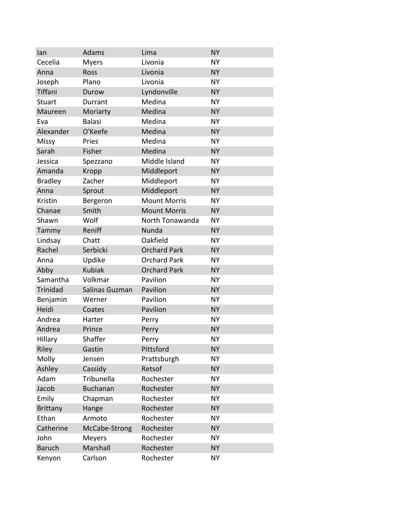| lan             | Adams           | Lima                | <b>NY</b> |
|-----------------|-----------------|---------------------|-----------|
| Cecelia         | <b>Myers</b>    | Livonia             | <b>NY</b> |
| Anna            | Ross            | Livonia             | <b>NY</b> |
| Joseph          | Plano           | Livonia             | <b>NY</b> |
| Tiffani         | Durow           | Lyndonville         | <b>NY</b> |
| <b>Stuart</b>   | Durrant         | Medina              | <b>NY</b> |
| Maureen         | Moriarty        | Medina              | <b>NY</b> |
| Eva             | <b>Balasi</b>   | Medina              | <b>NY</b> |
| Alexander       | O'Keefe         | Medina              | <b>NY</b> |
| Missy           | Pries           | Medina              | <b>NY</b> |
| Sarah           | Fisher          | Medina              | <b>NY</b> |
| Jessica         | Spezzano        | Middle Island       | <b>NY</b> |
| Amanda          | Kropp           | Middleport          | <b>NY</b> |
| <b>Bradley</b>  | Zacher          | Middleport          | <b>NY</b> |
| Anna            | Sprout          | Middleport          | <b>NY</b> |
| Kristin         | Bergeron        | <b>Mount Morris</b> | <b>NY</b> |
| Chanae          | Smith           | <b>Mount Morris</b> | <b>NY</b> |
| Shawn           | Wolf            | North Tonawanda     | <b>NY</b> |
| Tammy           | Reniff          | Nunda               | <b>NY</b> |
| Lindsay         | Chatt           | Oakfield            | <b>NY</b> |
| Rachel          | Serbicki        | <b>Orchard Park</b> | <b>NY</b> |
| Anna            | Updike          | <b>Orchard Park</b> | <b>NY</b> |
| Abby            | <b>Kubiak</b>   | <b>Orchard Park</b> | <b>NY</b> |
| Samantha        | Volkmar         | Pavilion            | <b>NY</b> |
| <b>Trinidad</b> | Salinas Guzman  | Pavilion            | <b>NY</b> |
| Benjamin        | Werner          | Pavilion            | <b>NY</b> |
| Heidi           | Coates          | Pavilion            | <b>NY</b> |
| Andrea          | Harter          | Perry               | <b>NY</b> |
| Andrea          | Prince          | Perry               | <b>NY</b> |
| Hillary         | Shaffer         | Perry               | NΥ        |
| Riley           | Gastin          | Pittsford           | <b>NY</b> |
| Molly           | Jensen          | Prattsburgh         | <b>NY</b> |
| Ashley          | Cassidy         | Retsof              | <b>NY</b> |
| Adam            | Tribunella      | Rochester           | <b>NY</b> |
| Jacob           | <b>Buchanan</b> | Rochester           | <b>NY</b> |
| Emily           | Chapman         | Rochester           | <b>NY</b> |
| <b>Brittany</b> | Hange           | Rochester           | <b>NY</b> |
| Ethan           | Armoto          | Rochester           | <b>NY</b> |
| Catherine       | McCabe-Strong   | Rochester           | <b>NY</b> |
| John            | <b>Meyers</b>   | Rochester           | <b>NY</b> |
| <b>Baruch</b>   | Marshall        | Rochester           | <b>NY</b> |
| Kenyon          | Carlson         | Rochester           | <b>NY</b> |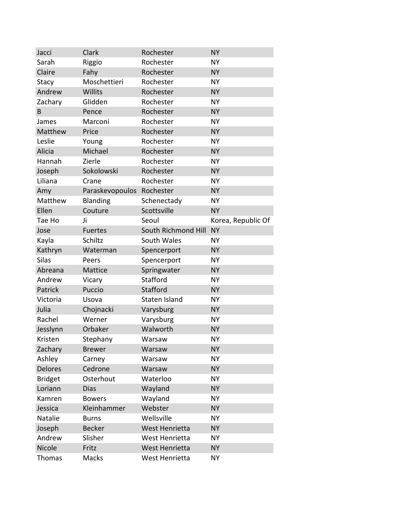| Jacci          | Clark           | Rochester           | <b>NY</b>          |
|----------------|-----------------|---------------------|--------------------|
| Sarah          | Riggio          | Rochester           | <b>NY</b>          |
| Claire         | Fahy            | Rochester           | <b>NY</b>          |
| Stacy          | Moschettieri    | Rochester           | <b>NY</b>          |
| Andrew         | Willits         | Rochester           | <b>NY</b>          |
| Zachary        | Glidden         | Rochester           | <b>NY</b>          |
| B              | Pence           | Rochester           | <b>NY</b>          |
| James          | Marconi         | Rochester           | <b>NY</b>          |
| Matthew        | Price           | Rochester           | <b>NY</b>          |
| Leslie         | Young           | Rochester           | <b>NY</b>          |
| Alicia         | Michael         | Rochester           | <b>NY</b>          |
| Hannah         | Zierle          | Rochester           | <b>NY</b>          |
| Joseph         | Sokolowski      | Rochester           | <b>NY</b>          |
| Liliana        | Crane           | Rochester           | <b>NY</b>          |
| Amy            | Paraskevopoulos | Rochester           | <b>NY</b>          |
| Matthew        | Blanding        | Schenectady         | <b>NY</b>          |
| Ellen          | Couture         | Scottsville         | <b>NY</b>          |
| Tae Ho         | Ji              | Seoul               | Korea, Republic Of |
| Jose           | <b>Fuertes</b>  | South Richmond Hill | <b>NY</b>          |
| Kayla          | Schiltz         | South Wales         | <b>NY</b>          |
| Kathryn        | Waterman        | Spencerport         | <b>NY</b>          |
| <b>Silas</b>   | Peers           | Spencerport         | <b>NY</b>          |
| Abreana        | Mattice         | Springwater         | <b>NY</b>          |
| Andrew         | Vicary          | <b>Stafford</b>     | <b>NY</b>          |
| Patrick        | Puccio          | Stafford            | <b>NY</b>          |
| Victoria       | Usova           | Staten Island       | <b>NY</b>          |
| Julia          | Chojnacki       | Varysburg           | <b>NY</b>          |
| Rachel         | Werner          | Varysburg           | <b>NY</b>          |
| Jesslynn       | Orbaker         | Walworth            | <b>NY</b>          |
| Kristen        | <b>Stephany</b> | Warsaw              | NY.                |
| Zachary        | <b>Brewer</b>   | Warsaw              | <b>NY</b>          |
| Ashley         | Carney          | Warsaw              | <b>NY</b>          |
| Delores        | Cedrone         | Warsaw              | <b>NY</b>          |
| <b>Bridget</b> | Osterhout       | Waterloo            | <b>NY</b>          |
| Loriann        | <b>Dias</b>     | Wayland             | <b>NY</b>          |
| Kamren         | <b>Bowers</b>   | Wayland             | <b>NY</b>          |
| Jessica        | Kleinhammer     | Webster             | <b>NY</b>          |
| Natalie        | <b>Burns</b>    | Wellsville          | <b>NY</b>          |
| Joseph         | <b>Becker</b>   | West Henrietta      | <b>NY</b>          |
| Andrew         | Slisher         | West Henrietta      | <b>NY</b>          |
| Nicole         | Fritz           | West Henrietta      | <b>NY</b>          |
| Thomas         | Macks           | West Henrietta      | <b>NY</b>          |